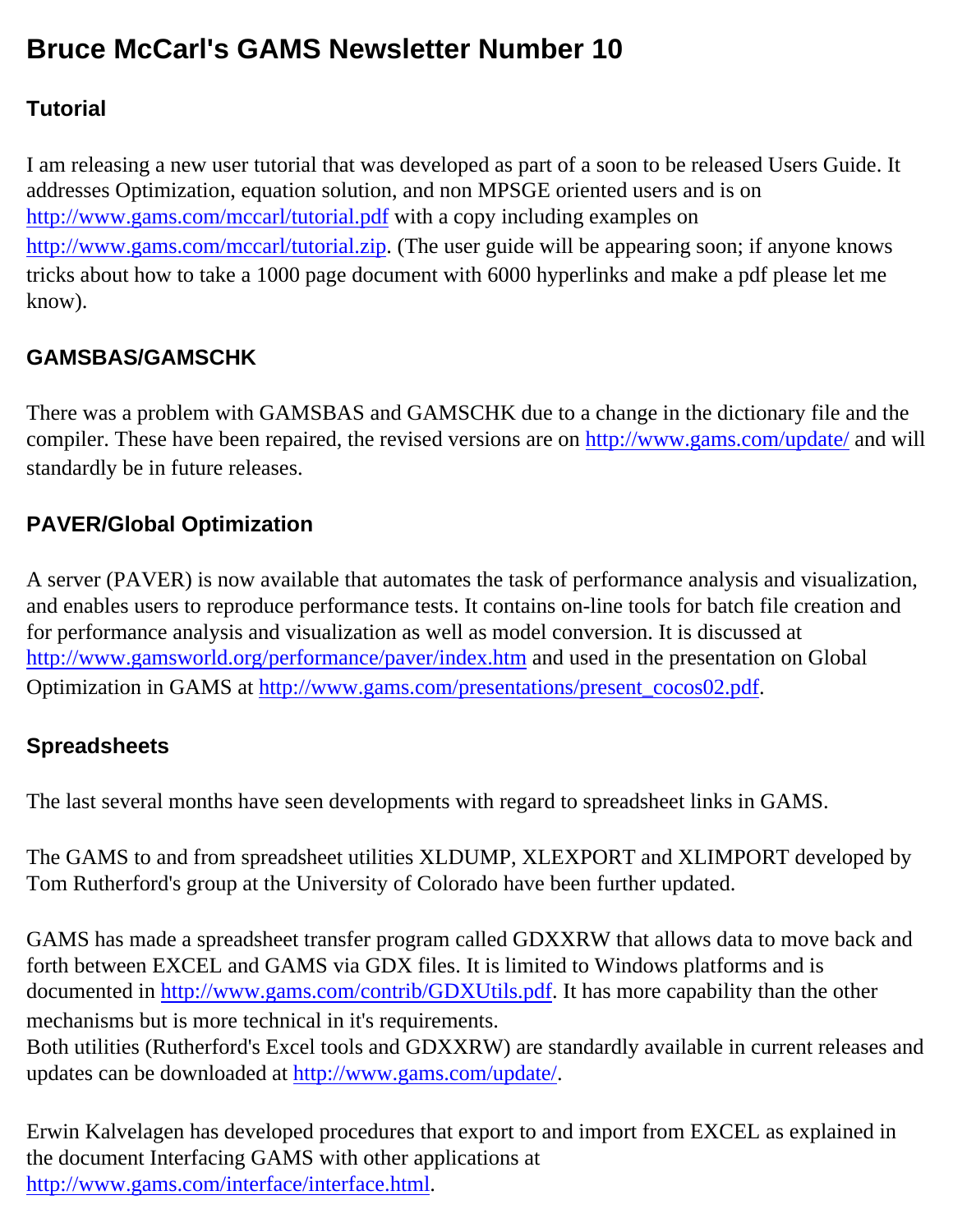# **Bruce McCarl's GAMS Newsletter Number 10**

### **Tutorial**

I am releasing a new user tutorial that was developed as part of a soon to be released Users Guide. It addresses Optimization, equation solution, and non MPSGE oriented users and is on <http://www.gams.com/mccarl/tutorial.pdf>with a copy including examples on <http://www.gams.com/mccarl/tutorial.zip>. (The user guide will be appearing soon; if anyone knows tricks about how to take a 1000 page document with 6000 hyperlinks and make a pdf please let me know).

# **GAMSBAS/GAMSCHK**

There was a problem with GAMSBAS and GAMSCHK due to a change in the dictionary file and the compiler. These have been repaired, the revised versions are on [http://www.gams.com/update/](http://www.gams.com/update) and will standardly be in future releases.

## **PAVER/Global Optimization**

A server (PAVER) is now available that automates the task of performance analysis and visualization, and enables users to reproduce performance tests. It contains on-line tools for batch file creation and for performance analysis and visualization as well as model conversion. It is discussed at <http://www.gamsworld.org/performance/paver/index.htm>and used in the presentation on Global Optimization in GAMS at [http://www.gams.com/presentations/present\\_cocos02.pdf.](http://www.gams.com/presentations/present_cocos02.pdf)

### **Spreadsheets**

The last several months have seen developments with regard to spreadsheet links in GAMS.

The GAMS to and from spreadsheet utilities XLDUMP, XLEXPORT and XLIMPORT developed by Tom Rutherford's group at the University of Colorado have been further updated.

GAMS has made a spreadsheet transfer program called GDXXRW that allows data to move back and forth between EXCEL and GAMS via GDX files. It is limited to Windows platforms and is documented in [http://www.gams.com/contrib/GDXUtils.pdf.](http://www.gams.com/contrib/GDXUtils.pdf) It has more capability than the other mechanisms but is more technical in it's requirements. Both utilities (Rutherford's Excel tools and GDXXRW) are standardly available in current releases and updates can be downloaded at [http://www.gams.com/update/](http://www.gams.com/update).

Erwin Kalvelagen has developed procedures that export to and import from EXCEL as explained in the document Interfacing GAMS with other applications at <http://www.gams.com/interface/interface.html>.